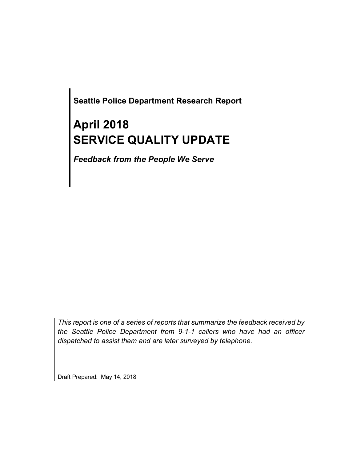**Seattle Police Department Research Report**

# **April 2018 SERVICE QUALITY UPDATE**

*Feedback from the People We Serve*

*This report is one of a series of reports that summarize the feedback received by the Seattle Police Department from 9-1-1 callers who have had an officer dispatched to assist them and are later surveyed by telephone.*

Draft Prepared: May 14, 2018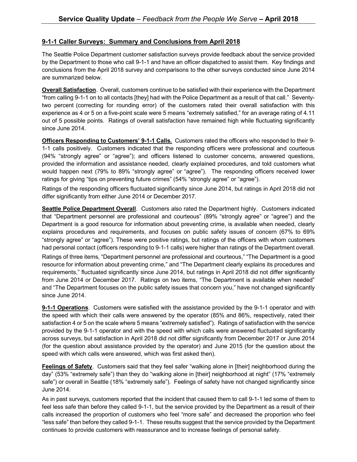#### **9-1-1 Caller Surveys: Summary and Conclusions from April 2018**

The Seattle Police Department customer satisfaction surveys provide feedback about the service provided by the Department to those who call 9-1-1 and have an officer dispatched to assist them. Key findings and conclusions from the April 2018 survey and comparisons to the other surveys conducted since June 2014 are summarized below.

**Overall Satisfaction**. Overall, customers continue to be satisfied with their experience with the Department "from calling 9-1-1 on to all contacts [they] had with the Police Department as a result of that call." Seventytwo percent (correcting for rounding error) of the customers rated their overall satisfaction with this experience as 4 or 5 on a five-point scale were 5 means "extremely satisfied," for an average rating of 4.11 out of 5 possible points. Ratings of overall satisfaction have remained high while fluctuating significantly since June 2014.

**Officers Responding to Customers' 9-1-1 Calls.** Customers rated the officers who responded to their 9- 1-1 calls positively. Customers indicated that the responding officers were professional and courteous (94% "strongly agree" or "agree"); and officers listened to customer concerns, answered questions, provided the information and assistance needed, clearly explained procedures, and told customers what would happen next (79% to 89% "strongly agree" or "agree"). The responding officers received lower ratings for giving "tips on preventing future crimes" (54% "strongly agree" or "agree").

Ratings of the responding officers fluctuated significantly since June 2014, but ratings in April 2018 did not differ significantly from either June 2014 or December 2017.

**Seattle Police Department Overall**. Customers also rated the Department highly. Customers indicated that "Department personnel are professional and courteous" (89% "strongly agree" or "agree") and the Department is a good resource for information about preventing crime, is available when needed, clearly explains procedures and requirements, and focuses on public safety issues of concern (67% to 69% "strongly agree" or "agree"). These were positive ratings, but ratings of the officers with whom customers had personal contact (officers responding to 9-1-1 calls) were higher than ratings of the Department overall.

Ratings of three items, "Department personnel are professional and courteous," "The Department is a good resource for information about preventing crime," and "The Department clearly explains its procedures and requirements," fluctuated significantly since June 2014, but ratings in April 2018 did not differ significantly from June 2014 or December 2017. Ratings on two items, "The Department is available when needed" and "The Department focuses on the public safety issues that concern you," have not changed significantly since June 2014.

**9-1-1 Operations**. Customers were satisfied with the assistance provided by the 9-1-1 operator and with the speed with which their calls were answered by the operator (85% and 86%, respectively, rated their satisfaction 4 or 5 on the scale where 5 means "extremely satisfied"). Ratings of satisfaction with the service provided by the 9-1-1 operator and with the speed with which calls were answered fluctuated significantly across surveys, but satisfaction in April 2018 did not differ significantly from December 2017 or June 2014 (for the question about assistance provided by the operator) and June 2015 (for the question about the speed with which calls were answered, which was first asked then).

**Feelings of Safety**. Customers said that they feel safer "walking alone in [their] neighborhood during the day" (53% "extremely safe") than they do "walking alone in [their] neighborhood at night" (17% "extremely safe") or overall in Seattle (18% "extremely safe"). Feelings of safety have not changed significantly since June 2014.

As in past surveys, customers reported that the incident that caused them to call 9-1-1 led some of them to feel less safe than before they called 9-1-1, but the service provided by the Department as a result of their calls increased the proportion of customers who feel "more safe" and decreased the proportion who feel "less safe" than before they called 9-1-1. These results suggest that the service provided by the Department continues to provide customers with reassurance and to increase feelings of personal safety.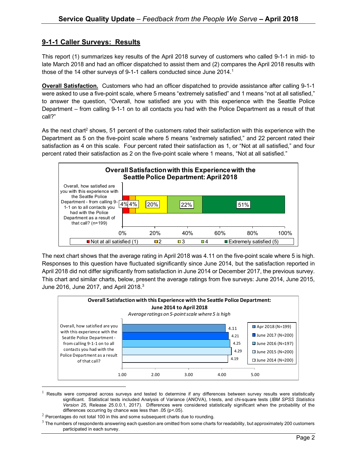### **9-1-1 Caller Surveys: Results**

This report (1) summarizes key results of the April 2018 survey of customers who called 9-1-1 in mid- to late March 2018 and had an officer dispatched to assist them and (2) compares the April 2018 results with those of the 14 other surveys of 9-1-1 callers conducted since June 2014.<sup>1</sup>

**Overall Satisfaction.** Customers who had an officer dispatched to provide assistance after calling 9-1-1 were asked to use a five-point scale, where 5 means "extremely satisfied" and 1 means "not at all satisfied," to answer the question, "Overall, how satisfied are you with this experience with the Seattle Police Department – from calling 9-1-1 on to all contacts you had with the Police Department as a result of that call?"

As the next chart<sup>2</sup> shows, 51 percent of the customers rated their satisfaction with this experience with the Department as 5 on the five-point scale where 5 means "extremely satisfied," and 22 percent rated their satisfaction as 4 on this scale. Four percent rated their satisfaction as 1, or "Not at all satisfied," and four percent rated their satisfaction as 2 on the five-point scale where 1 means, "Not at all satisfied."



The next chart shows that the average rating in April 2018 was 4.11 on the five-point scale where 5 is high. Responses to this question have fluctuated significantly since June 2014, but the satisfaction reported in April 2018 did not differ significantly from satisfaction in June 2014 or December 2017, the previous survey. This chart and similar charts, below, present the average ratings from five surveys: June 2014, June 2015, June 2016, June 2017, and April 2018.<sup>3</sup>



 $1$  Results were compared across surveys and tested to determine if any differences between survey results were statistically significant. Statistical tests included Analysis of Variance (ANOVA), t-tests, and chi-square tests (*IBM SPSS Statistics Version 25,* Release 25.0.0.1, 2017). Differences were considered statistically significant when the probability of the differences occurring by chance was less than .05 (p<.05).

 $2$  Percentages do not total 100 in this and some subsequent charts due to rounding.

 $3$  The numbers of respondents answering each question are omitted from some charts for readability, but approximately 200 customers participated in each survey.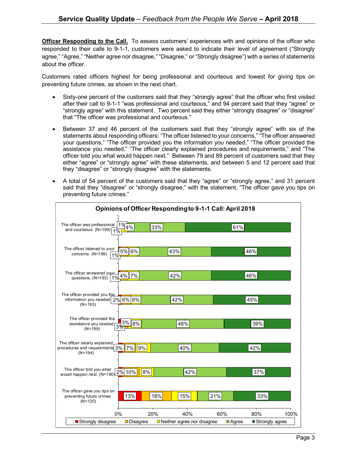**Officer Responding to the Call.** To assess customers' experiences with and opinions of the officer who responded to their calls to 9-1-1, customers were asked to indicate their level of agreement ("Strongly agree," "Agree," "Neither agree nor disagree," "Disagree," or "Strongly disagree") with a series of statements about the officer.

Customers rated officers highest for being professional and courteous and lowest for giving tips on preventing future crimes, as shown in the next chart.

- Sixty-one percent of the customers said that they "strongly agree" that the officer who first visited after their call to 9-1-1 "was professional and courteous," and 94 percent said that they "agree" or "strongly agree" with this statement. Two percent said they either "strongly disagree" or "disagree" that "The officer was professional and courteous."
- Between 37 and 46 percent of the customers said that they "strongly agree" with six of the statements about responding officers: "The officer listened to your concerns," "The officer answered your questions," "The officer provided you the information you needed," "The officer provided the assistance you needed," "The officer clearly explained procedures and requirements," and "The officer told you what would happen next." Between 79 and 89 percent of customers said that they either "agree" or "strongly agree" with these statements, and between 5 and 12 percent said that they "disagree" or "strongly disagree" with the statements.
- A total of 54 percent of the customers said that they "agree" or "strongly agree," and 31 percent said that they "disagree" or "strongly disagree," with the statement, "The officer gave you tips on preventing future crimes."

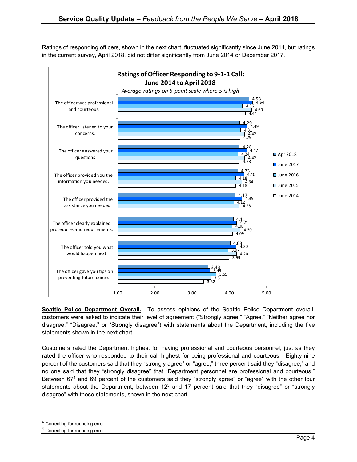Ratings of responding officers, shown in the next chart, fluctuated significantly since June 2014, but ratings in the current survey, April 2018, did not differ significantly from June 2014 or December 2017.



**Seattle Police Department Overall.** To assess opinions of the Seattle Police Department overall, customers were asked to indicate their level of agreement ("Strongly agree," "Agree," "Neither agree nor disagree," "Disagree," or "Strongly disagree") with statements about the Department, including the five statements shown in the next chart.

Customers rated the Department highest for having professional and courteous personnel, just as they rated the officer who responded to their call highest for being professional and courteous. Eighty-nine percent of the customers said that they "strongly agree" or "agree," three percent said they "disagree," and no one said that they "strongly disagree" that "Department personnel are professional and courteous." Between 67<sup>4</sup> and 69 percent of the customers said they "strongly agree" or "agree" with the other four statements about the Department; between  $12<sup>5</sup>$  and 17 percent said that they "disagree" or "strongly disagree" with these statements, shown in the next chart.

 <sup>4</sup> Correcting for rounding error.

 $5$  Correcting for rounding error.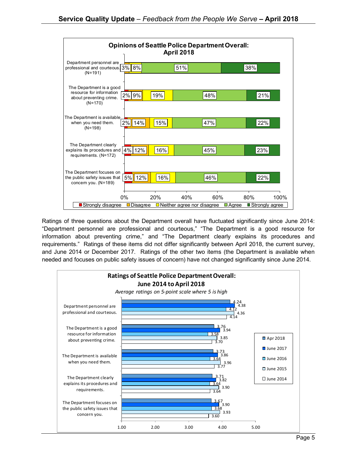

Ratings of three questions about the Department overall have fluctuated significantly since June 2014: "Department personnel are professional and courteous," "The Department is a good resource for information about preventing crime," and "The Department clearly explains its procedures and requirements." Ratings of these items did not differ significantly between April 2018, the current survey, and June 2014 or December 2017. Ratings of the other two items (the Department is available when needed and focuses on public safety issues of concern) have not changed significantly since June 2014.

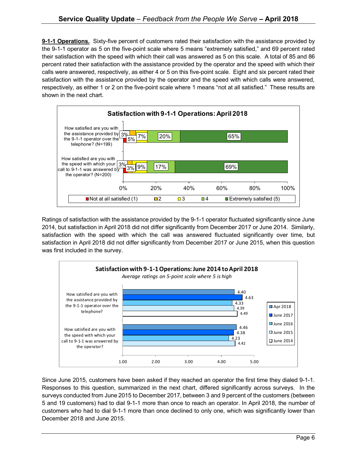**9-1-1 Operations.** Sixty-five percent of customers rated their satisfaction with the assistance provided by the 9-1-1 operator as 5 on the five-point scale where 5 means "extremely satisfied," and 69 percent rated their satisfaction with the speed with which their call was answered as 5 on this scale. A total of 85 and 86 percent rated their satisfaction with the assistance provided by the operator and the speed with which their calls were answered, respectively, as either 4 or 5 on this five-point scale. Eight and six percent rated their satisfaction with the assistance provided by the operator and the speed with which calls were answered, respectively, as either 1 or 2 on the five-point scale where 1 means "not at all satisfied." These results are shown in the next chart.



Ratings of satisfaction with the assistance provided by the 9-1-1 operator fluctuated significantly since June 2014, but satisfaction in April 2018 did not differ significantly from December 2017 or June 2014. Similarly, satisfaction with the speed with which the call was answered fluctuated significantly over time, but satisfaction in April 2018 did not differ significantly from December 2017 or June 2015, when this question was first included in the survey.



Since June 2015, customers have been asked if they reached an operator the first time they dialed 9-1-1. Responses to this question, summarized in the next chart, differed significantly across surveys. In the surveys conducted from June 2015 to December 2017, between 3 and 9 percent of the customers (between 5 and 19 customers) had to dial 9-1-1 more than once to reach an operator. In April 2018, the number of customers who had to dial 9-1-1 more than once declined to only one, which was significantly lower than December 2018 and June 2015.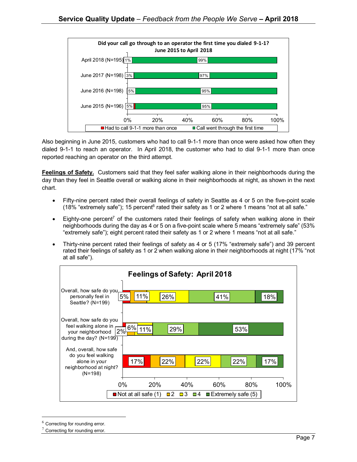

Also beginning in June 2015, customers who had to call 9-1-1 more than once were asked how often they dialed 9-1-1 to reach an operator. In April 2018, the customer who had to dial 9-1-1 more than once reported reaching an operator on the third attempt.

**Feelings of Safety.** Customers said that they feel safer walking alone in their neighborhoods during the day than they feel in Seattle overall or walking alone in their neighborhoods at night, as shown in the next chart.

- Fifty-nine percent rated their overall feelings of safety in Seattle as 4 or 5 on the five-point scale (18% "extremely safe"); 15 percent $6$  rated their safety as 1 or 2 where 1 means "not at all safe."
- Eighty-one percent<sup>7</sup> of the customers rated their feelings of safety when walking alone in their neighborhoods during the day as 4 or 5 on a five-point scale where 5 means "extremely safe" (53% "extremely safe"); eight percent rated their safety as 1 or 2 where 1 means "not at all safe."
- Thirty-nine percent rated their feelings of safety as 4 or 5 (17% "extremely safe") and 39 percent rated their feelings of safety as 1 or 2 when walking alone in their neighborhoods at night (17% "not at all safe").



 $6$  Correcting for rounding error.

Correcting for rounding error.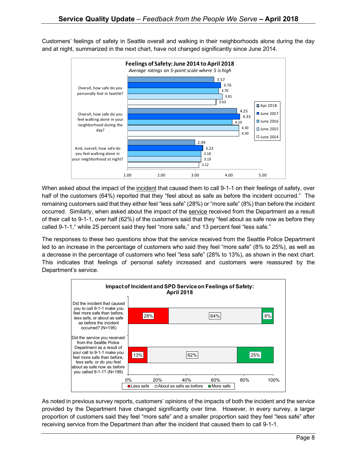Customers' feelings of safety in Seattle overall and walking in their neighborhoods alone during the day and at night, summarized in the next chart, have not changed significantly since June 2014.



When asked about the impact of the incident that caused them to call 9-1-1 on their feelings of safety, over half of the customers (64%) reported that they "feel about as safe as before the incident occurred." The remaining customers said that they either feel "less safe" (28%) or "more safe" (8%) than before the incident occurred. Similarly, when asked about the impact of the service received from the Department as a result of their call to 9-1-1, over half (62%) of the customers said that they "feel about as safe now as before they called 9-1-1," while 25 percent said they feel "more safe," and 13 percent feel "less safe."

The responses to these two questions show that the service received from the Seattle Police Department led to an increase in the percentage of customers who said they feel "more safe" (8% to 25%), as well as a decrease in the percentage of customers who feel "less safe" (28% to 13%), as shown in the next chart. This indicates that feelings of personal safety increased and customers were reassured by the Department's service.



As noted in previous survey reports, customers' opinions of the impacts of both the incident and the service provided by the Department have changed significantly over time. However, in every survey, a larger proportion of customers said they feel "more safe" and a smaller proportion said they feel "less safe" after receiving service from the Department than after the incident that caused them to call 9-1-1.